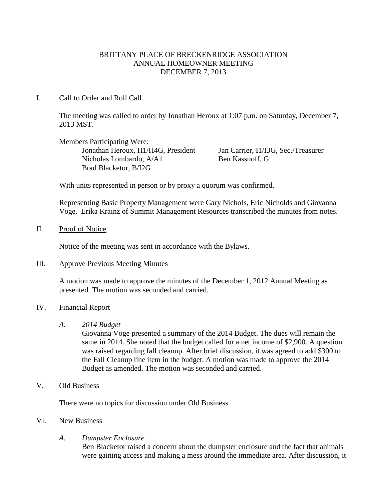# BRITTANY PLACE OF BRECKENRIDGE ASSOCIATION ANNUAL HOMEOWNER MEETING DECEMBER 7, 2013

## I. Call to Order and Roll Call

The meeting was called to order by Jonathan Heroux at 1:07 p.m. on Saturday, December 7, 2013 MST.

Members Participating Were: Jonathan Heroux, H1/H4G, President Jan Carrier, I1/I3G, Sec./Treasurer Nicholas Lombardo, A/A1 Ben Kassnoff, G Brad Blacketor, B/I2G

With units represented in person or by proxy a quorum was confirmed.

Representing Basic Property Management were Gary Nichols, Eric Nicholds and Giovanna Voge. Erika Krainz of Summit Management Resources transcribed the minutes from notes.

#### II. Proof of Notice

Notice of the meeting was sent in accordance with the Bylaws.

#### III. Approve Previous Meeting Minutes

A motion was made to approve the minutes of the December 1, 2012 Annual Meeting as presented. The motion was seconded and carried.

## IV. Financial Report

*A. 2014 Budget*

Giovanna Voge presented a summary of the 2014 Budget. The dues will remain the same in 2014. She noted that the budget called for a net income of \$2,900. A question was raised regarding fall cleanup. After brief discussion, it was agreed to add \$300 to the Fall Cleanup line item in the budget. A motion was made to approve the 2014 Budget as amended. The motion was seconded and carried.

# V. Old Business

There were no topics for discussion under Old Business.

## VI. New Business

## *A. Dumpster Enclosure*

Ben Blacketor raised a concern about the dumpster enclosure and the fact that animals were gaining access and making a mess around the immediate area. After discussion, it